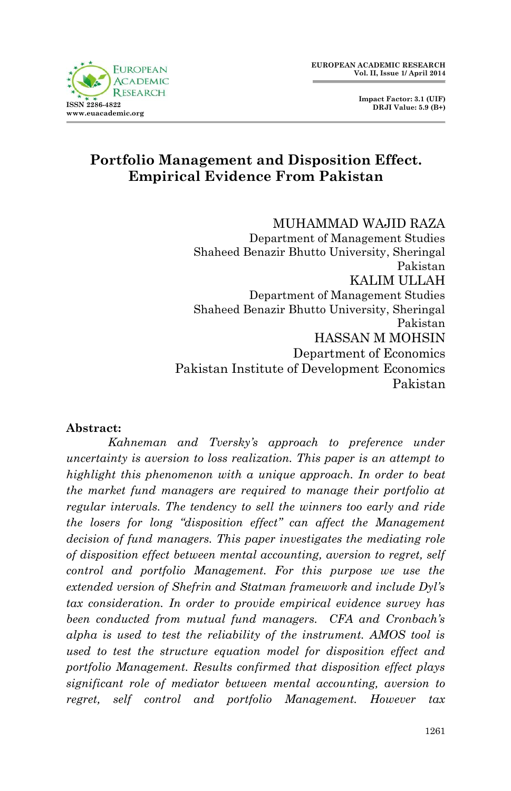



# **Portfolio Management and Disposition Effect. Empirical Evidence From Pakistan**

MUHAMMAD WAJID RAZA Department of Management Studies Shaheed Benazir Bhutto University, Sheringal Pakistan KALIM ULLAH Department of Management Studies Shaheed Benazir Bhutto University, Sheringal Pakistan HASSAN M MOHSIN Department of Economics Pakistan Institute of Development Economics Pakistan

#### **Abstract:**

*Kahneman and Tversky's approach to preference under uncertainty is aversion to loss realization. This paper is an attempt to highlight this phenomenon with a unique approach. In order to beat the market fund managers are required to manage their portfolio at regular intervals. The tendency to sell the winners too early and ride the losers for long "disposition effect" can affect the Management decision of fund managers. This paper investigates the mediating role of disposition effect between mental accounting, aversion to regret, self control and portfolio Management. For this purpose we use the extended version of Shefrin and Statman framework and include Dyl's tax consideration. In order to provide empirical evidence survey has been conducted from mutual fund managers. CFA and Cronbach's alpha is used to test the reliability of the instrument. AMOS tool is used to test the structure equation model for disposition effect and portfolio Management. Results confirmed that disposition effect plays significant role of mediator between mental accounting, aversion to regret, self control and portfolio Management. However tax*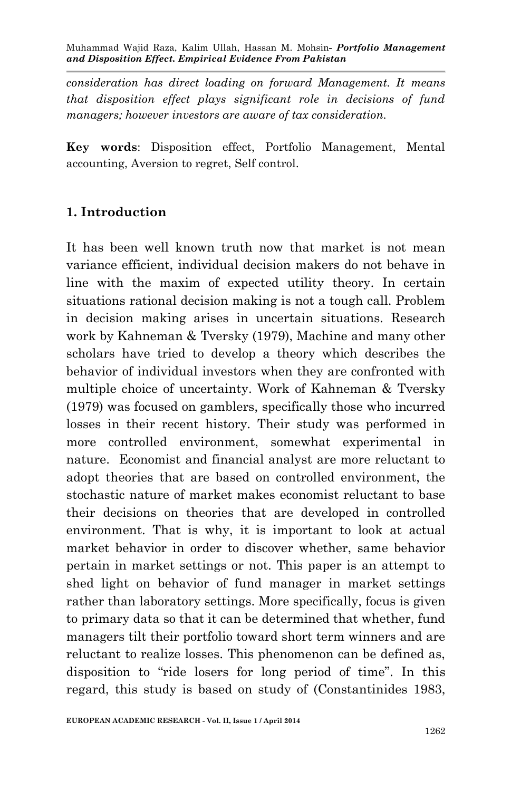*consideration has direct loading on forward Management. It means that disposition effect plays significant role in decisions of fund managers; however investors are aware of tax consideration.*

**Key words**: Disposition effect, Portfolio Management, Mental accounting, Aversion to regret, Self control.

## **1. Introduction**

It has been well known truth now that market is not mean variance efficient, individual decision makers do not behave in line with the maxim of expected utility theory. In certain situations rational decision making is not a tough call. Problem in decision making arises in uncertain situations. Research work by Kahneman & Tversky (1979), Machine and many other scholars have tried to develop a theory which describes the behavior of individual investors when they are confronted with multiple choice of uncertainty. Work of Kahneman & Tversky (1979) was focused on gamblers, specifically those who incurred losses in their recent history. Their study was performed in more controlled environment, somewhat experimental in nature. Economist and financial analyst are more reluctant to adopt theories that are based on controlled environment, the stochastic nature of market makes economist reluctant to base their decisions on theories that are developed in controlled environment. That is why, it is important to look at actual market behavior in order to discover whether, same behavior pertain in market settings or not. This paper is an attempt to shed light on behavior of fund manager in market settings rather than laboratory settings. More specifically, focus is given to primary data so that it can be determined that whether, fund managers tilt their portfolio toward short term winners and are reluctant to realize losses. This phenomenon can be defined as, disposition to "ride losers for long period of time". In this regard, this study is based on study of (Constantinides 1983,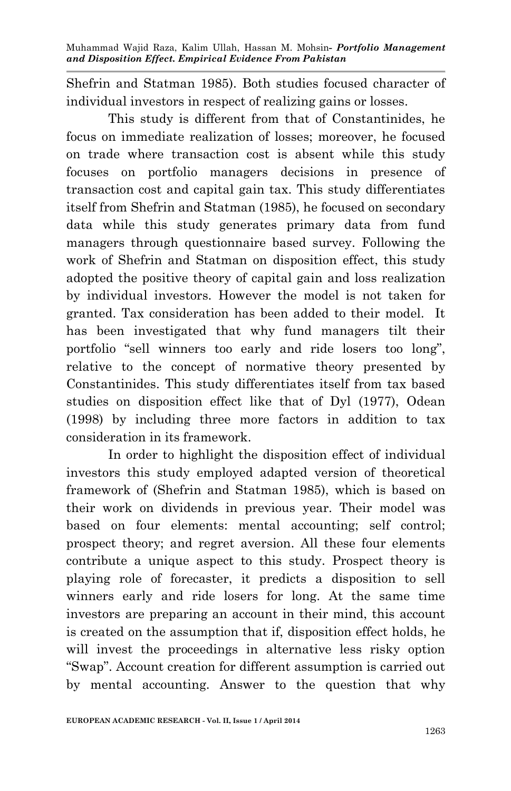Shefrin and Statman 1985). Both studies focused character of individual investors in respect of realizing gains or losses.

This study is different from that of Constantinides, he focus on immediate realization of losses; moreover, he focused on trade where transaction cost is absent while this study focuses on portfolio managers decisions in presence of transaction cost and capital gain tax. This study differentiates itself from Shefrin and Statman (1985), he focused on secondary data while this study generates primary data from fund managers through questionnaire based survey. Following the work of Shefrin and Statman on disposition effect, this study adopted the positive theory of capital gain and loss realization by individual investors. However the model is not taken for granted. Tax consideration has been added to their model. It has been investigated that why fund managers tilt their portfolio "sell winners too early and ride losers too long", relative to the concept of normative theory presented by Constantinides. This study differentiates itself from tax based studies on disposition effect like that of Dyl (1977), Odean (1998) by including three more factors in addition to tax consideration in its framework.

In order to highlight the disposition effect of individual investors this study employed adapted version of theoretical framework of (Shefrin and Statman 1985), which is based on their work on dividends in previous year. Their model was based on four elements: mental accounting; self control; prospect theory; and regret aversion. All these four elements contribute a unique aspect to this study. Prospect theory is playing role of forecaster, it predicts a disposition to sell winners early and ride losers for long. At the same time investors are preparing an account in their mind, this account is created on the assumption that if, disposition effect holds, he will invest the proceedings in alternative less risky option "Swap". Account creation for different assumption is carried out by mental accounting. Answer to the question that why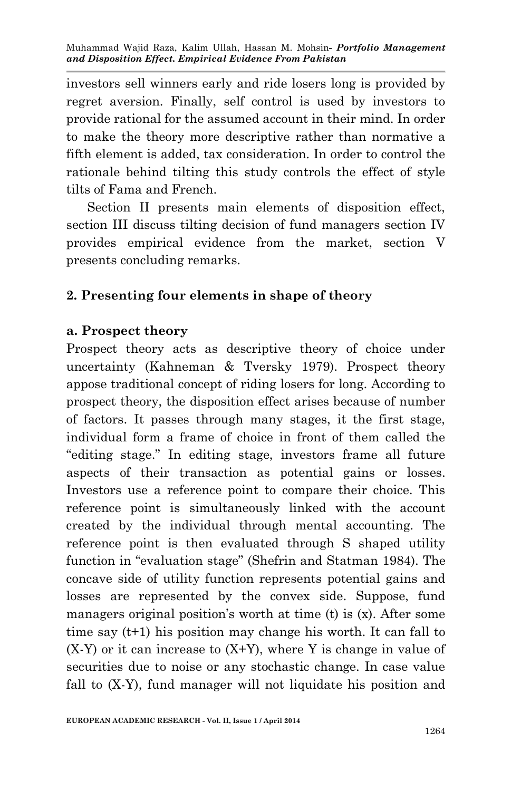investors sell winners early and ride losers long is provided by regret aversion. Finally, self control is used by investors to provide rational for the assumed account in their mind. In order to make the theory more descriptive rather than normative a fifth element is added, tax consideration. In order to control the rationale behind tilting this study controls the effect of style tilts of Fama and French.

Section II presents main elements of disposition effect, section III discuss tilting decision of fund managers section IV provides empirical evidence from the market, section V presents concluding remarks.

## **2. Presenting four elements in shape of theory**

#### **a. Prospect theory**

Prospect theory acts as descriptive theory of choice under uncertainty (Kahneman & Tversky 1979). Prospect theory appose traditional concept of riding losers for long. According to prospect theory, the disposition effect arises because of number of factors. It passes through many stages, it the first stage, individual form a frame of choice in front of them called the "editing stage." In editing stage, investors frame all future aspects of their transaction as potential gains or losses. Investors use a reference point to compare their choice. This reference point is simultaneously linked with the account created by the individual through mental accounting. The reference point is then evaluated through S shaped utility function in "evaluation stage" (Shefrin and Statman 1984). The concave side of utility function represents potential gains and losses are represented by the convex side. Suppose, fund managers original position's worth at time (t) is (x). After some time say (t+1) his position may change his worth. It can fall to  $(X-Y)$  or it can increase to  $(X+Y)$ , where Y is change in value of securities due to noise or any stochastic change. In case value fall to (X-Y), fund manager will not liquidate his position and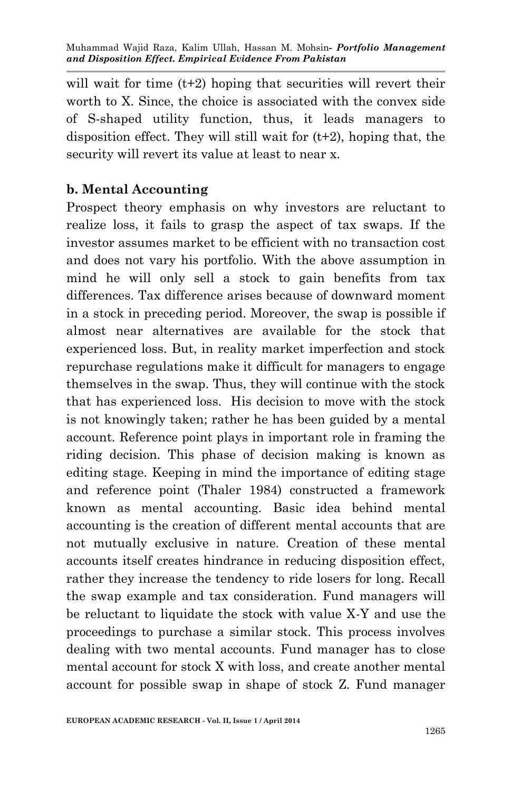will wait for time  $(t+2)$  hoping that securities will revert their worth to X. Since, the choice is associated with the convex side of S-shaped utility function, thus, it leads managers to disposition effect. They will still wait for (t+2), hoping that, the security will revert its value at least to near x.

## **b. Mental Accounting**

Prospect theory emphasis on why investors are reluctant to realize loss, it fails to grasp the aspect of tax swaps. If the investor assumes market to be efficient with no transaction cost and does not vary his portfolio. With the above assumption in mind he will only sell a stock to gain benefits from tax differences. Tax difference arises because of downward moment in a stock in preceding period. Moreover, the swap is possible if almost near alternatives are available for the stock that experienced loss. But, in reality market imperfection and stock repurchase regulations make it difficult for managers to engage themselves in the swap. Thus, they will continue with the stock that has experienced loss. His decision to move with the stock is not knowingly taken; rather he has been guided by a mental account. Reference point plays in important role in framing the riding decision. This phase of decision making is known as editing stage. Keeping in mind the importance of editing stage and reference point (Thaler 1984) constructed a framework known as mental accounting. Basic idea behind mental accounting is the creation of different mental accounts that are not mutually exclusive in nature. Creation of these mental accounts itself creates hindrance in reducing disposition effect, rather they increase the tendency to ride losers for long. Recall the swap example and tax consideration. Fund managers will be reluctant to liquidate the stock with value X-Y and use the proceedings to purchase a similar stock. This process involves dealing with two mental accounts. Fund manager has to close mental account for stock X with loss, and create another mental account for possible swap in shape of stock Z. Fund manager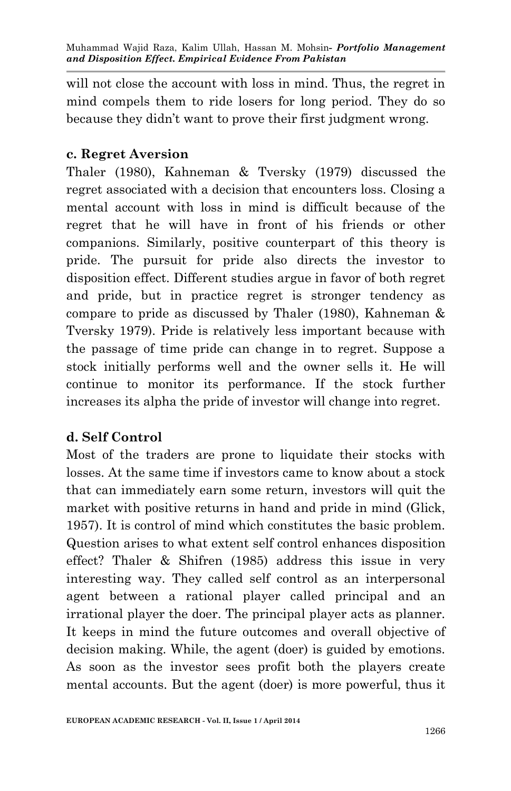will not close the account with loss in mind. Thus, the regret in mind compels them to ride losers for long period. They do so because they didn't want to prove their first judgment wrong.

#### **c. Regret Aversion**

Thaler (1980), Kahneman & Tversky (1979) discussed the regret associated with a decision that encounters loss. Closing a mental account with loss in mind is difficult because of the regret that he will have in front of his friends or other companions. Similarly, positive counterpart of this theory is pride. The pursuit for pride also directs the investor to disposition effect. Different studies argue in favor of both regret and pride, but in practice regret is stronger tendency as compare to pride as discussed by Thaler (1980), Kahneman & Tversky 1979). Pride is relatively less important because with the passage of time pride can change in to regret. Suppose a stock initially performs well and the owner sells it. He will continue to monitor its performance. If the stock further increases its alpha the pride of investor will change into regret.

## **d. Self Control**

Most of the traders are prone to liquidate their stocks with losses. At the same time if investors came to know about a stock that can immediately earn some return, investors will quit the market with positive returns in hand and pride in mind (Glick, 1957). It is control of mind which constitutes the basic problem. Question arises to what extent self control enhances disposition effect? Thaler & Shifren (1985) address this issue in very interesting way. They called self control as an interpersonal agent between a rational player called principal and an irrational player the doer. The principal player acts as planner. It keeps in mind the future outcomes and overall objective of decision making. While, the agent (doer) is guided by emotions. As soon as the investor sees profit both the players create mental accounts. But the agent (doer) is more powerful, thus it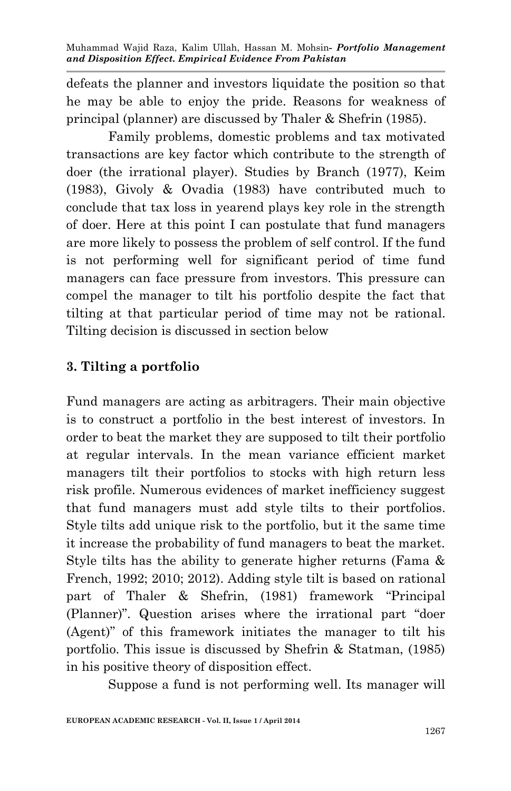defeats the planner and investors liquidate the position so that he may be able to enjoy the pride. Reasons for weakness of principal (planner) are discussed by Thaler & Shefrin (1985).

Family problems, domestic problems and tax motivated transactions are key factor which contribute to the strength of doer (the irrational player). Studies by Branch (1977), Keim (1983), Givoly & Ovadia (1983) have contributed much to conclude that tax loss in yearend plays key role in the strength of doer. Here at this point I can postulate that fund managers are more likely to possess the problem of self control. If the fund is not performing well for significant period of time fund managers can face pressure from investors. This pressure can compel the manager to tilt his portfolio despite the fact that tilting at that particular period of time may not be rational. Tilting decision is discussed in section below

#### **3. Tilting a portfolio**

Fund managers are acting as arbitragers. Their main objective is to construct a portfolio in the best interest of investors. In order to beat the market they are supposed to tilt their portfolio at regular intervals. In the mean variance efficient market managers tilt their portfolios to stocks with high return less risk profile. Numerous evidences of market inefficiency suggest that fund managers must add style tilts to their portfolios. Style tilts add unique risk to the portfolio, but it the same time it increase the probability of fund managers to beat the market. Style tilts has the ability to generate higher returns (Fama & French, 1992; 2010; 2012). Adding style tilt is based on rational part of Thaler & Shefrin, (1981) framework "Principal (Planner)". Question arises where the irrational part "doer (Agent)" of this framework initiates the manager to tilt his portfolio. This issue is discussed by Shefrin & Statman, (1985) in his positive theory of disposition effect.

Suppose a fund is not performing well. Its manager will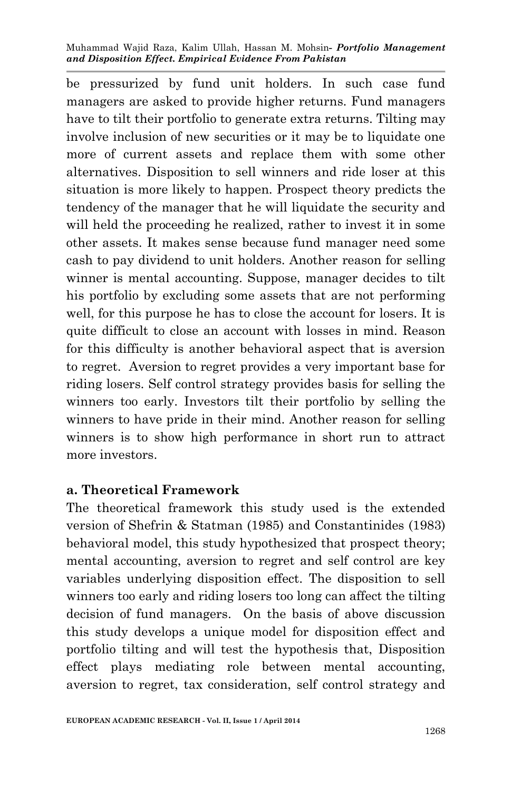be pressurized by fund unit holders. In such case fund managers are asked to provide higher returns. Fund managers have to tilt their portfolio to generate extra returns. Tilting may involve inclusion of new securities or it may be to liquidate one more of current assets and replace them with some other alternatives. Disposition to sell winners and ride loser at this situation is more likely to happen. Prospect theory predicts the tendency of the manager that he will liquidate the security and will held the proceeding he realized, rather to invest it in some other assets. It makes sense because fund manager need some cash to pay dividend to unit holders. Another reason for selling winner is mental accounting. Suppose, manager decides to tilt his portfolio by excluding some assets that are not performing well, for this purpose he has to close the account for losers. It is quite difficult to close an account with losses in mind. Reason for this difficulty is another behavioral aspect that is aversion to regret. Aversion to regret provides a very important base for riding losers. Self control strategy provides basis for selling the winners too early. Investors tilt their portfolio by selling the winners to have pride in their mind. Another reason for selling winners is to show high performance in short run to attract more investors.

#### **a. Theoretical Framework**

The theoretical framework this study used is the extended version of Shefrin & Statman (1985) and Constantinides (1983) behavioral model, this study hypothesized that prospect theory; mental accounting, aversion to regret and self control are key variables underlying disposition effect. The disposition to sell winners too early and riding losers too long can affect the tilting decision of fund managers. On the basis of above discussion this study develops a unique model for disposition effect and portfolio tilting and will test the hypothesis that, Disposition effect plays mediating role between mental accounting, aversion to regret, tax consideration, self control strategy and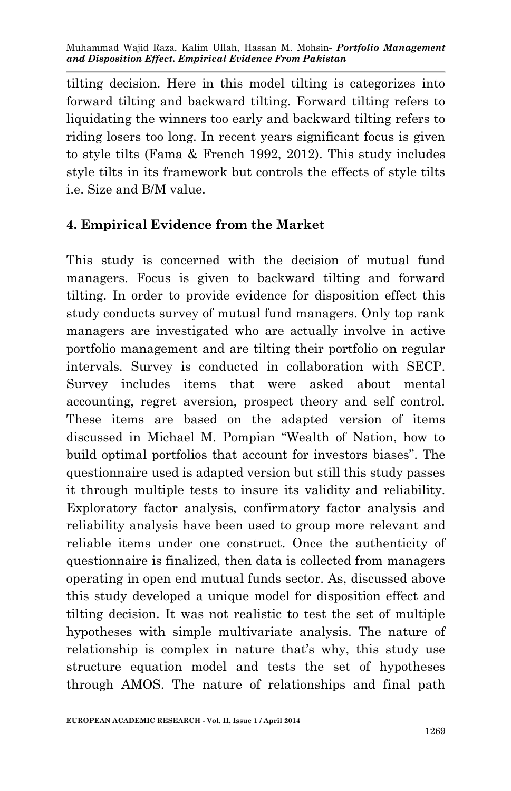tilting decision. Here in this model tilting is categorizes into forward tilting and backward tilting. Forward tilting refers to liquidating the winners too early and backward tilting refers to riding losers too long. In recent years significant focus is given to style tilts (Fama & French 1992, 2012). This study includes style tilts in its framework but controls the effects of style tilts i.e. Size and B/M value.

#### **4. Empirical Evidence from the Market**

This study is concerned with the decision of mutual fund managers. Focus is given to backward tilting and forward tilting. In order to provide evidence for disposition effect this study conducts survey of mutual fund managers. Only top rank managers are investigated who are actually involve in active portfolio management and are tilting their portfolio on regular intervals. Survey is conducted in collaboration with SECP. Survey includes items that were asked about mental accounting, regret aversion, prospect theory and self control. These items are based on the adapted version of items discussed in Michael M. Pompian "Wealth of Nation, how to build optimal portfolios that account for investors biases". The questionnaire used is adapted version but still this study passes it through multiple tests to insure its validity and reliability. Exploratory factor analysis, confirmatory factor analysis and reliability analysis have been used to group more relevant and reliable items under one construct. Once the authenticity of questionnaire is finalized, then data is collected from managers operating in open end mutual funds sector. As, discussed above this study developed a unique model for disposition effect and tilting decision. It was not realistic to test the set of multiple hypotheses with simple multivariate analysis. The nature of relationship is complex in nature that's why, this study use structure equation model and tests the set of hypotheses through AMOS. The nature of relationships and final path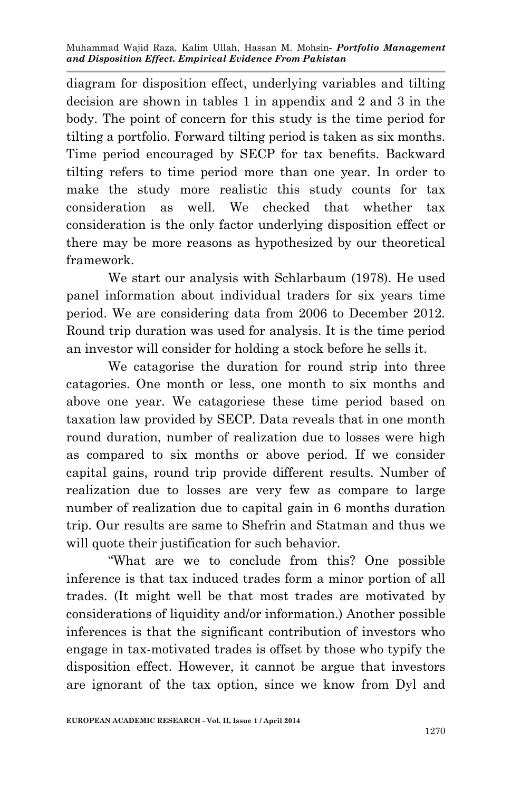diagram for disposition effect, underlying variables and tilting decision are shown in tables 1 in appendix and 2 and 3 in the body. The point of concern for this study is the time period for tilting a portfolio. Forward tilting period is taken as six months. Time period encouraged by SECP for tax benefits. Backward tilting refers to time period more than one year. In order to make the study more realistic this study counts for tax consideration as well. We checked that whether tax consideration is the only factor underlying disposition effect or there may be more reasons as hypothesized by our theoretical framework.

We start our analysis with Schlarbaum (1978). He used panel information about individual traders for six years time period. We are considering data from 2006 to December 2012. Round trip duration was used for analysis. It is the time period an investor will consider for holding a stock before he sells it.

We catagorise the duration for round strip into three catagories. One month or less, one month to six months and above one year. We catagoriese these time period based on taxation law provided by SECP. Data reveals that in one month round duration, number of realization due to losses were high as compared to six months or above period. If we consider capital gains, round trip provide different results. Number of realization due to losses are very few as compare to large number of realization due to capital gain in 6 months duration trip. Our results are same to Shefrin and Statman and thus we will quote their justification for such behavior.

"What are we to conclude from this? One possible inference is that tax induced trades form a minor portion of all trades. (It might well be that most trades are motivated by considerations of liquidity and/or information.) Another possible inferences is that the significant contribution of investors who engage in tax-motivated trades is offset by those who typify the disposition effect. However, it cannot be argue that investors are ignorant of the tax option, since we know from Dyl and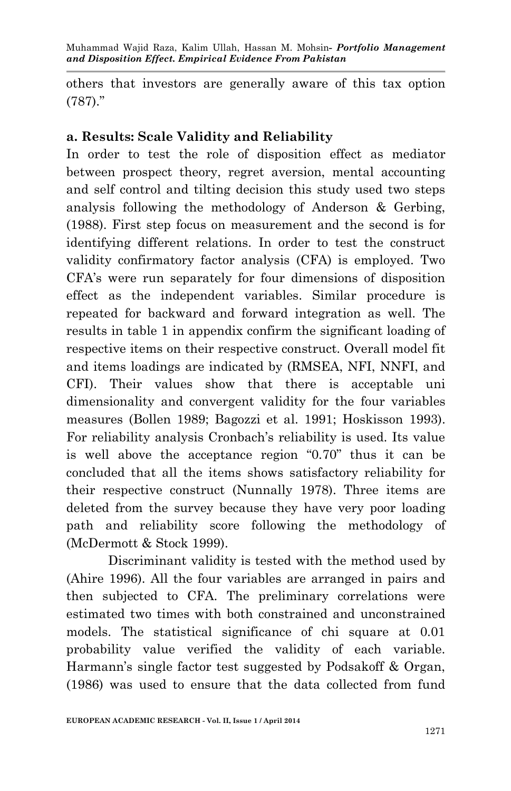others that investors are generally aware of this tax option (787)."

## **a. Results: Scale Validity and Reliability**

In order to test the role of disposition effect as mediator between prospect theory, regret aversion, mental accounting and self control and tilting decision this study used two steps analysis following the methodology of Anderson & Gerbing, (1988). First step focus on measurement and the second is for identifying different relations. In order to test the construct validity confirmatory factor analysis (CFA) is employed. Two CFA's were run separately for four dimensions of disposition effect as the independent variables. Similar procedure is repeated for backward and forward integration as well. The results in table 1 in appendix confirm the significant loading of respective items on their respective construct. Overall model fit and items loadings are indicated by (RMSEA, NFI, NNFI, and CFI). Their values show that there is acceptable uni dimensionality and convergent validity for the four variables measures (Bollen 1989; Bagozzi et al. 1991; Hoskisson 1993). For reliability analysis Cronbach's reliability is used. Its value is well above the acceptance region "0.70" thus it can be concluded that all the items shows satisfactory reliability for their respective construct (Nunnally 1978). Three items are deleted from the survey because they have very poor loading path and reliability score following the methodology of (McDermott & Stock 1999).

Discriminant validity is tested with the method used by (Ahire 1996). All the four variables are arranged in pairs and then subjected to CFA. The preliminary correlations were estimated two times with both constrained and unconstrained models. The statistical significance of chi square at 0.01 probability value verified the validity of each variable. Harmann's single factor test suggested by Podsakoff & Organ, (1986) was used to ensure that the data collected from fund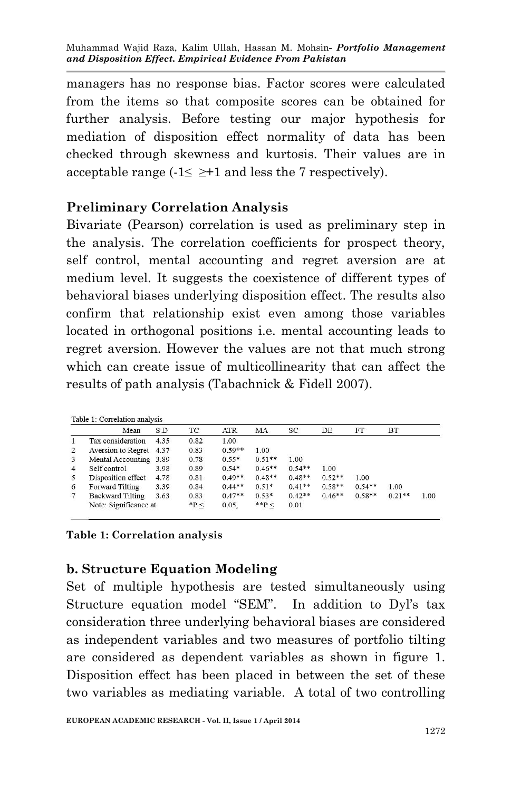managers has no response bias. Factor scores were calculated from the items so that composite scores can be obtained for further analysis. Before testing our major hypothesis for mediation of disposition effect normality of data has been checked through skewness and kurtosis. Their values are in acceptable range ( $-1 \leq \geq +1$  and less the 7 respectively).

#### **Preliminary Correlation Analysis**

Bivariate (Pearson) correlation is used as preliminary step in the analysis. The correlation coefficients for prospect theory, self control, mental accounting and regret aversion are at medium level. It suggests the coexistence of different types of behavioral biases underlying disposition effect. The results also confirm that relationship exist even among those variables located in orthogonal positions i.e. mental accounting leads to regret aversion. However the values are not that much strong which can create issue of multicollinearity that can affect the results of path analysis (Tabachnick & Fidell 2007).

|                | Mean                    | S.D  | ТC        | <b>ATR</b> | MA        | SC       | DE       | FT       | ВT       |      |
|----------------|-------------------------|------|-----------|------------|-----------|----------|----------|----------|----------|------|
|                | Tax consideration       | 4.35 | 0.82      | 1.00       |           |          |          |          |          |      |
|                | Aversion to Regret 4.37 |      | 0.83      | $0.59**$   | 1.00      |          |          |          |          |      |
| 3              | Mental Accounting 3.89  |      | 0.78      | $0.55*$    | $0.51**$  | 1.00     |          |          |          |      |
| $\overline{4}$ | Self control            | 3.98 | 0.89      | $0.54*$    | $0.46**$  | $0.54**$ | 1.00     |          |          |      |
| 5              | Disposition effect      | 4.78 | 0.81      | $0.49**$   | $0.48**$  | $0.48**$ | $0.52**$ | 1.00     |          |      |
| 6              | Forward Tilting         | 3.39 | 0.84      | $0.44**$   | $0.51*$   | $0.41**$ | $0.58**$ | $0.54**$ | 1.00     |      |
|                | <b>Backward Tilting</b> | 3.63 | 0.83      | $0.47**$   | $0.53*$   | $0.42**$ | $0.46**$ | $0.58**$ | $0.21**$ | 1.00 |
|                | Note: Significance at   |      | $*P \leq$ | 0.05.      | $*$ $P$ < | 0.01     |          |          |          |      |

**Table 1: Correlation analysis** 

#### **b. Structure Equation Modeling**

Set of multiple hypothesis are tested simultaneously using Structure equation model "SEM". In addition to Dyl's tax consideration three underlying behavioral biases are considered as independent variables and two measures of portfolio tilting are considered as dependent variables as shown in figure 1. Disposition effect has been placed in between the set of these two variables as mediating variable. A total of two controlling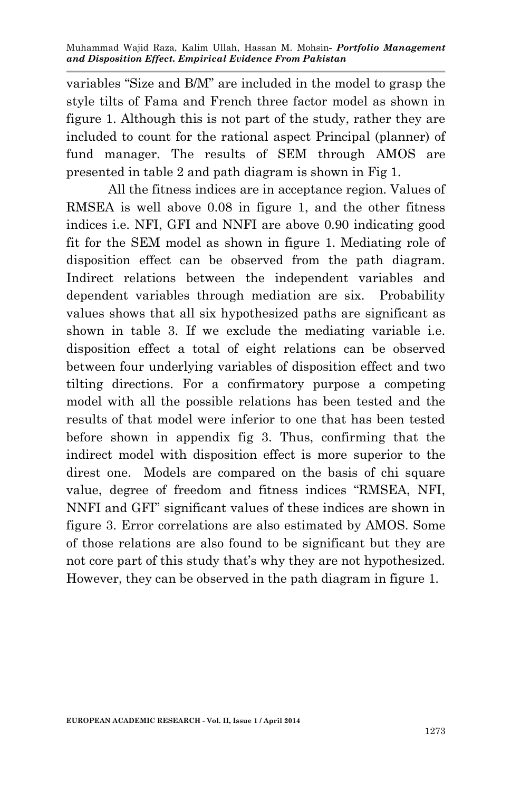variables "Size and B/M" are included in the model to grasp the style tilts of Fama and French three factor model as shown in figure 1. Although this is not part of the study, rather they are included to count for the rational aspect Principal (planner) of fund manager. The results of SEM through AMOS are presented in table 2 and path diagram is shown in Fig 1.

All the fitness indices are in acceptance region. Values of RMSEA is well above 0.08 in figure 1, and the other fitness indices i.e. NFI, GFI and NNFI are above 0.90 indicating good fit for the SEM model as shown in figure 1. Mediating role of disposition effect can be observed from the path diagram. Indirect relations between the independent variables and dependent variables through mediation are six. Probability values shows that all six hypothesized paths are significant as shown in table 3. If we exclude the mediating variable i.e. disposition effect a total of eight relations can be observed between four underlying variables of disposition effect and two tilting directions. For a confirmatory purpose a competing model with all the possible relations has been tested and the results of that model were inferior to one that has been tested before shown in appendix fig 3. Thus, confirming that the indirect model with disposition effect is more superior to the direst one. Models are compared on the basis of chi square value, degree of freedom and fitness indices "RMSEA, NFI, NNFI and GFI" significant values of these indices are shown in figure 3. Error correlations are also estimated by AMOS. Some of those relations are also found to be significant but they are not core part of this study that's why they are not hypothesized. However, they can be observed in the path diagram in figure 1.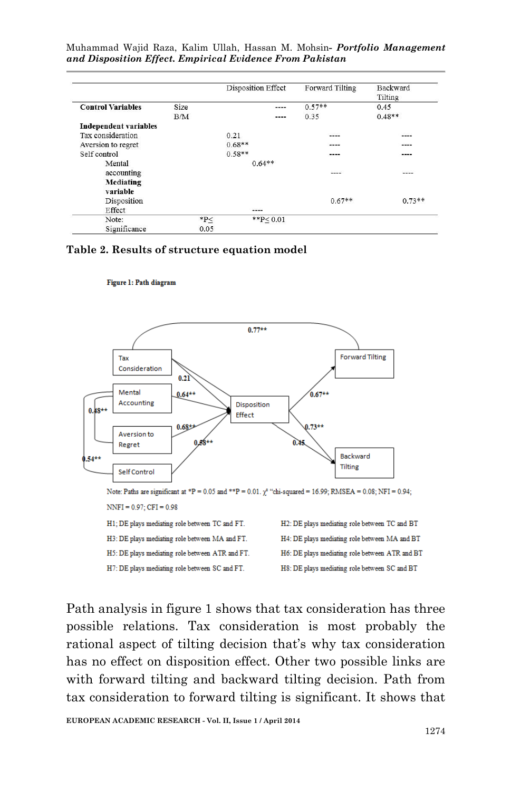|                              |       |          | Disposition Effect | Forward Tilting | <b>Backward</b><br>Tilting |  |
|------------------------------|-------|----------|--------------------|-----------------|----------------------------|--|
| <b>Control Variables</b>     | Size  |          | ----               | $0.57**$        | 0.45                       |  |
|                              | B/M   |          | ----               | 0.35            | $0.48**$                   |  |
| <b>Independent variables</b> |       |          |                    |                 |                            |  |
| Tax consideration            |       | 0.21     |                    | ----            | ----                       |  |
| Aversion to regret           |       | $0.68**$ |                    | ----            | ----                       |  |
| Self control                 |       | $0.58**$ |                    | ----            | ----                       |  |
| Mental                       |       |          | $0.64**$           |                 |                            |  |
| accounting                   |       |          |                    | ----            | ----                       |  |
| <b>Mediating</b>             |       |          |                    |                 |                            |  |
| variable                     |       |          |                    |                 |                            |  |
| Disposition                  |       |          |                    | $0.67**$        | $0.73**$                   |  |
| Effect                       |       |          | $---$              |                 |                            |  |
| Note:                        | $*p<$ |          | $*$ $P < 0.01$     |                 |                            |  |
| Significance                 | 0.05  |          |                    |                 |                            |  |

#### **Table 2. Results of structure equation model**

#### Figure 1: Path diagram



Note: Paths are significant at \*P = 0.05 and \*\*P = 0.01.  $\chi^2$  "chi-squared = 16.99; RMSEA = 0.08; NFI = 0.94;  $NNFI = 0.97$ ; CFI = 0.98

H1; DE plays mediating role between TC and FT. H3: DE plays mediating role between MA and FT. H5: DE plays mediating role between ATR and FT. H7: DE plays mediating role between SC and FT.

H2: DE plays mediating role between TC and BT H4: DE plays mediating role between MA and BT H6: DE plays mediating role between ATR and BT H8: DE plays mediating role between SC and BT

Path analysis in figure 1 shows that tax consideration has three possible relations. Tax consideration is most probably the rational aspect of tilting decision that's why tax consideration has no effect on disposition effect. Other two possible links are with forward tilting and backward tilting decision. Path from tax consideration to forward tilting is significant. It shows that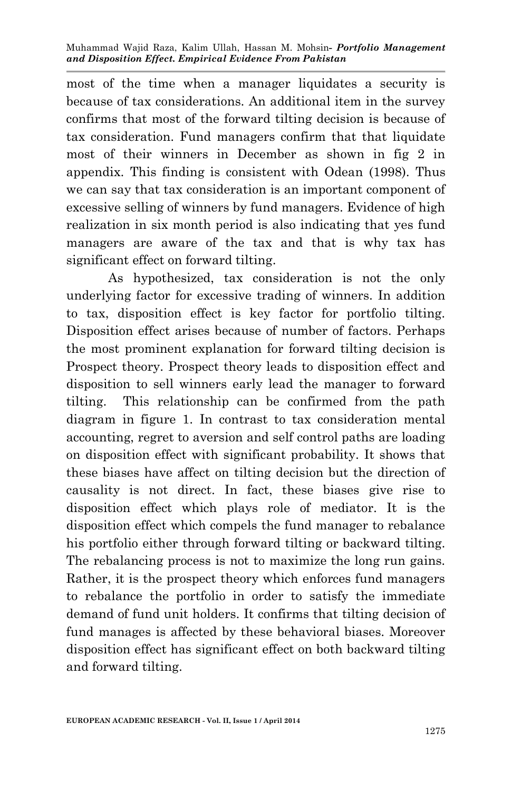most of the time when a manager liquidates a security is because of tax considerations. An additional item in the survey confirms that most of the forward tilting decision is because of tax consideration. Fund managers confirm that that liquidate most of their winners in December as shown in fig 2 in appendix. This finding is consistent with Odean (1998). Thus we can say that tax consideration is an important component of excessive selling of winners by fund managers. Evidence of high realization in six month period is also indicating that yes fund managers are aware of the tax and that is why tax has significant effect on forward tilting.

As hypothesized, tax consideration is not the only underlying factor for excessive trading of winners. In addition to tax, disposition effect is key factor for portfolio tilting. Disposition effect arises because of number of factors. Perhaps the most prominent explanation for forward tilting decision is Prospect theory. Prospect theory leads to disposition effect and disposition to sell winners early lead the manager to forward tilting. This relationship can be confirmed from the path diagram in figure 1. In contrast to tax consideration mental accounting, regret to aversion and self control paths are loading on disposition effect with significant probability. It shows that these biases have affect on tilting decision but the direction of causality is not direct. In fact, these biases give rise to disposition effect which plays role of mediator. It is the disposition effect which compels the fund manager to rebalance his portfolio either through forward tilting or backward tilting. The rebalancing process is not to maximize the long run gains. Rather, it is the prospect theory which enforces fund managers to rebalance the portfolio in order to satisfy the immediate demand of fund unit holders. It confirms that tilting decision of fund manages is affected by these behavioral biases. Moreover disposition effect has significant effect on both backward tilting and forward tilting.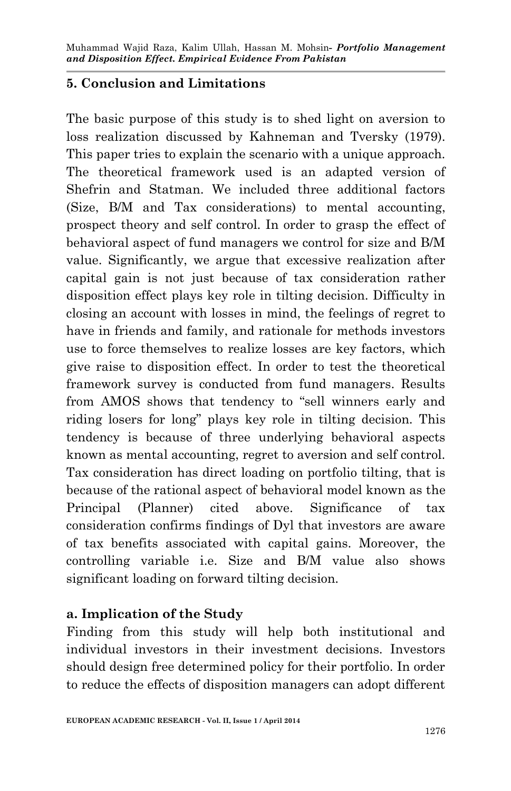## **5. Conclusion and Limitations**

The basic purpose of this study is to shed light on aversion to loss realization discussed by Kahneman and Tversky (1979). This paper tries to explain the scenario with a unique approach. The theoretical framework used is an adapted version of Shefrin and Statman. We included three additional factors (Size, B/M and Tax considerations) to mental accounting, prospect theory and self control. In order to grasp the effect of behavioral aspect of fund managers we control for size and B/M value. Significantly, we argue that excessive realization after capital gain is not just because of tax consideration rather disposition effect plays key role in tilting decision. Difficulty in closing an account with losses in mind, the feelings of regret to have in friends and family, and rationale for methods investors use to force themselves to realize losses are key factors, which give raise to disposition effect. In order to test the theoretical framework survey is conducted from fund managers. Results from AMOS shows that tendency to "sell winners early and riding losers for long" plays key role in tilting decision. This tendency is because of three underlying behavioral aspects known as mental accounting, regret to aversion and self control. Tax consideration has direct loading on portfolio tilting, that is because of the rational aspect of behavioral model known as the Principal (Planner) cited above. Significance of tax consideration confirms findings of Dyl that investors are aware of tax benefits associated with capital gains. Moreover, the controlling variable i.e. Size and B/M value also shows significant loading on forward tilting decision.

## **a. Implication of the Study**

Finding from this study will help both institutional and individual investors in their investment decisions. Investors should design free determined policy for their portfolio. In order to reduce the effects of disposition managers can adopt different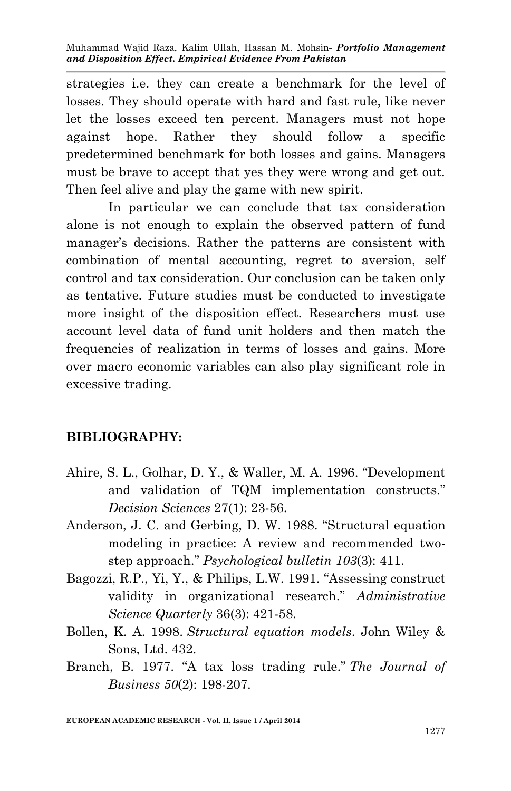strategies i.e. they can create a benchmark for the level of losses. They should operate with hard and fast rule, like never let the losses exceed ten percent. Managers must not hope against hope. Rather they should follow a specific predetermined benchmark for both losses and gains. Managers must be brave to accept that yes they were wrong and get out. Then feel alive and play the game with new spirit.

In particular we can conclude that tax consideration alone is not enough to explain the observed pattern of fund manager's decisions. Rather the patterns are consistent with combination of mental accounting, regret to aversion, self control and tax consideration. Our conclusion can be taken only as tentative. Future studies must be conducted to investigate more insight of the disposition effect. Researchers must use account level data of fund unit holders and then match the frequencies of realization in terms of losses and gains. More over macro economic variables can also play significant role in excessive trading.

#### **BIBLIOGRAPHY:**

- Ahire, S. L., Golhar, D. Y., & Waller, M. A. 1996. "Development and validation of TQM implementation constructs." *Decision Sciences* 27(1): 23-56.
- Anderson, J. C. and Gerbing, D. W. 1988. "Structural equation modeling in practice: A review and recommended twostep approach." *Psychological bulletin 103*(3): 411.
- Bagozzi, R.P., Yi, Y., & Philips, L.W. 1991. "Assessing construct validity in organizational research." *Administrative Science Quarterly* 36(3): 421-58.
- Bollen, K. A. 1998. *Structural equation models*. John Wiley & Sons, Ltd. 432.
- Branch, B. 1977. "A tax loss trading rule." *The Journal of Business 50*(2): 198-207.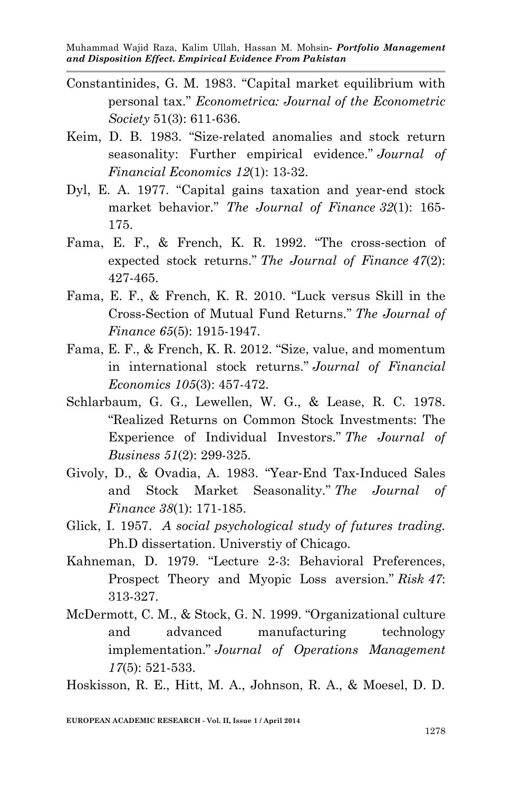- Constantinides, G. M. 1983. "Capital market equilibrium with personal tax." *Econometrica: Journal of the Econometric Society* 51(3): 611-636.
- Keim, D. B. 1983. "Size-related anomalies and stock return seasonality: Further empirical evidence." *Journal of Financial Economics 12*(1): 13-32.
- Dyl, E. A. 1977. "Capital gains taxation and year‐end stock market behavior." *The Journal of Finance 32*(1): 165- 175.
- Fama, E. F., & French, K. R. 1992. "The cross‐section of expected stock returns." *The Journal of Finance 47*(2): 427-465.
- Fama, E. F., & French, K. R. 2010. "Luck versus Skill in the Cross‐Section of Mutual Fund Returns." *The Journal of Finance 65*(5): 1915-1947.
- Fama, E. F., & French, K. R. 2012. "Size, value, and momentum in international stock returns." *Journal of Financial Economics 105*(3): 457-472.
- Schlarbaum, G. G., Lewellen, W. G., & Lease, R. C. 1978. "Realized Returns on Common Stock Investments: The Experience of Individual Investors." *The Journal of Business 51*(2): 299-325.
- Givoly, D., & Ovadia, A. 1983. "Year‐End Tax‐Induced Sales and Stock Market Seasonality." *The Journal of Finance 38*(1): 171-185.
- Glick, I. 1957. *A social psychological study of futures trading.* Ph.D dissertation. Universtiy of Chicago.
- Kahneman, D. 1979. "Lecture 2-3: Behavioral Preferences, Prospect Theory and Myopic Loss aversion." *Risk 47*: 313-327.
- McDermott, C. M., & Stock, G. N. 1999. "Organizational culture and advanced manufacturing technology implementation." *Journal of Operations Management 17*(5): 521-533.

Hoskisson, R. E., Hitt, M. A., Johnson, R. A., & Moesel, D. D.